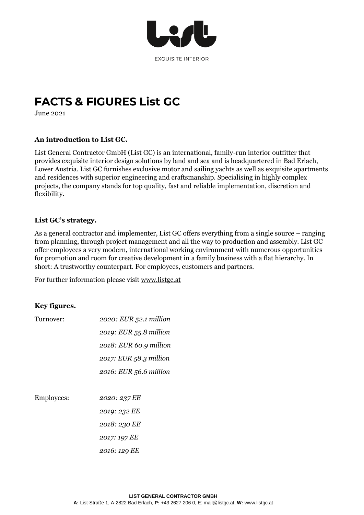

# **FACTS & FIGURES List GC**

June 2021

## **An introduction to List GC.**

List General Contractor GmbH (List GC) is an international, family-run interior outfitter that provides exquisite interior design solutions by land and sea and is headquartered in Bad Erlach, Lower Austria. List GC furnishes exclusive motor and sailing yachts as well as exquisite apartments and residences with superior engineering and craftsmanship. Specialising in highly complex projects, the company stands for top quality, fast and reliable implementation, discretion and flexibility.

## **List GC's strategy.**

As a general contractor and implementer, List GC offers everything from a single source – ranging from planning, through project management and all the way to production and assembly. List GC offer employees a very modern, international working environment with numerous opportunities for promotion and room for creative development in a family business with a flat hierarchy. In short: A trustworthy counterpart. For employees, customers and partners.

For further information please visit [www.listgc.at](http://www.listgc.at/)

## **Key figures.**

| Turnover:  | 2020: EUR 52.1 million |
|------------|------------------------|
|            | 2019: EUR 55.8 million |
|            | 2018: EUR 60.9 million |
|            | 2017: EUR 58.3 million |
|            | 2016: EUR 56.6 million |
|            |                        |
| Employees: | 2020: 237 EE           |
|            | 2019: 232 EE           |
|            | 2018: 230 EE           |
|            | 2017: 197 EE           |
|            | 2016: 129 EE           |